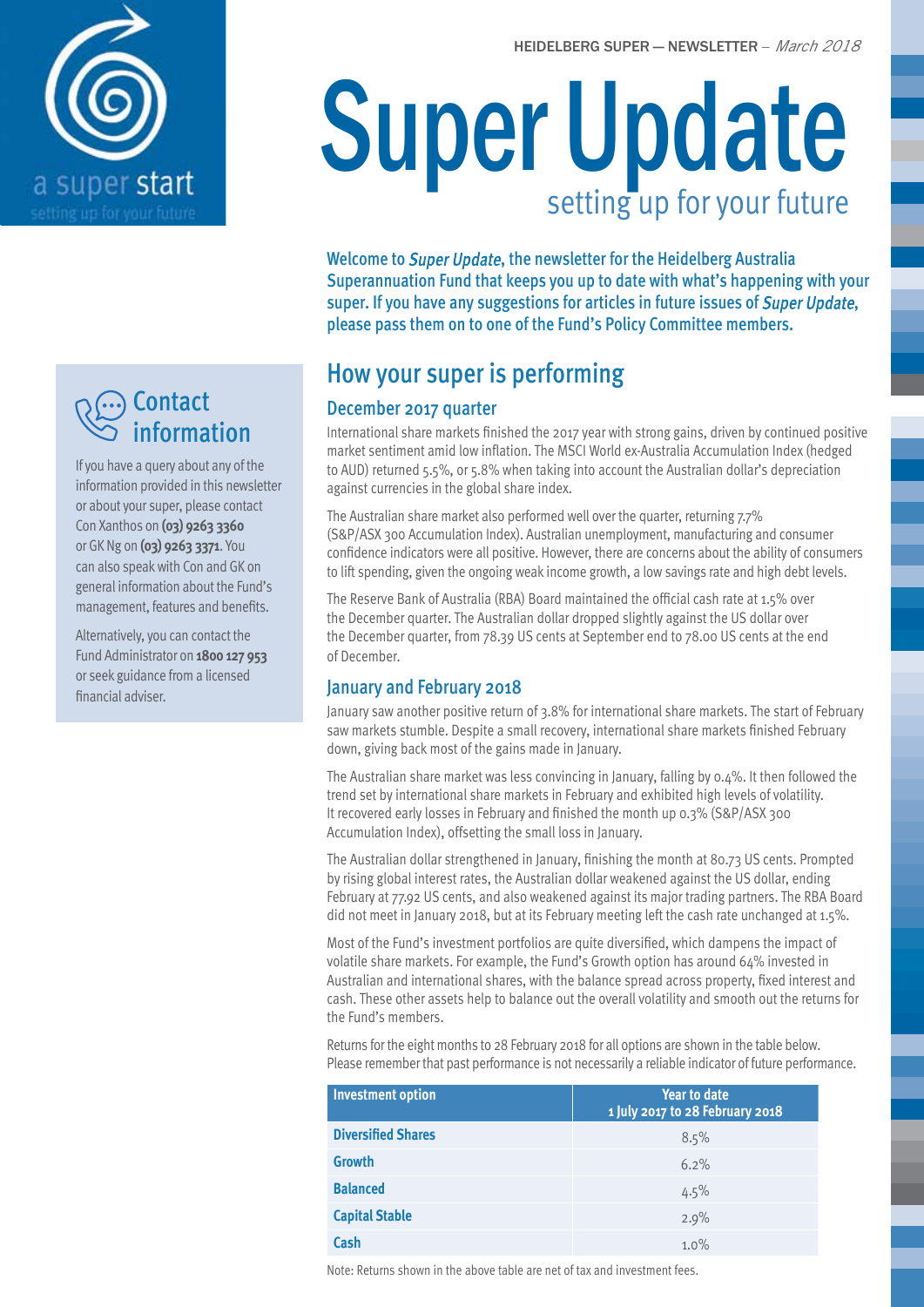

## **Contact** information

If you have a query about any of the information provided in this newsletter or about your super, please contact Con Xanthos on **(03) 9263 3360** or GK Ng on **(03) 9263 3371**. You can also speak with Con and GK on general information about the Fund's management, features and benefits.

Alternatively, you can contact the Fund Administrator on **1800 127 953** or seek guidance from a licensed financial adviser.

# Super Update setting up for your future

Welcome to Super Update, the newsletter for the Heidelberg Australia Superannuation Fund that keeps you up to date with what's happening with your super. If you have any suggestions for articles in future issues of Super Update, please pass them on to one of the Fund's Policy Committee members.

# How your super is performing

### December 2017 quarter

International share markets finished the 2017 year with strong gains, driven by continued positive market sentiment amid low inflation. The MSCI World ex-Australia Accumulation Index (hedged to AUD) returned 5.5%, or 5.8% when taking into account the Australian dollar's depreciation against currencies in the global share index.

The Australian share market also performed well over the quarter, returning 7.7% (S&P/ASX 300 Accumulation Index). Australian unemployment, manufacturing and consumer confidence indicators were all positive. However, there are concerns about the ability of consumers to lift spending, given the ongoing weak income growth, a low savings rate and high debt levels.

The Reserve Bank of Australia (RBA) Board maintained the official cash rate at 1.5% over the December quarter. The Australian dollar dropped slightly against the US dollar over the December quarter, from 78.39 US cents at September end to 78.00 US cents at the end of December.

### January and February 2018

January saw another positive return of 3.8% for international share markets. The start of February saw markets stumble. Despite a small recovery, international share markets finished February down, giving back most of the gains made in January.

The Australian share market was less convincing in January, falling by 0.4%. It then followed the trend set by international share markets in February and exhibited high levels of volatility. It recovered early losses in February and finished the month up 0.3% (S&P/ASX 300 Accumulation Index), offsetting the small loss in January.

The Australian dollar strengthened in January, finishing the month at 80.73 US cents. Prompted by rising global interest rates, the Australian dollar weakened against the US dollar, ending February at 77.92 US cents, and also weakened against its major trading partners. The RBA Board did not meet in January 2018, but at its February meeting left the cash rate unchanged at 1.5%.

Most of the Fund's investment portfolios are quite diversified, which dampens the impact of volatile share markets. For example, the Fund's Growth option has around 64% invested in Australian and international shares, with the balance spread across property, fixed interest and cash. These other assets help to balance out the overall volatility and smooth out the returns for the Fund's members.

Returns for the eight months to 28 February 2018 for all options are shown in the table below. Please remember that past performance is not necessarily a reliable indicator of future performance.

| <b>Investment option</b>  | <b>Year to date</b><br>1 July 2017 to 28 February 2018 |  |
|---------------------------|--------------------------------------------------------|--|
| <b>Diversified Shares</b> | 8.5%                                                   |  |
| <b>Growth</b>             | 6.2%                                                   |  |
| <b>Balanced</b>           | 4.5%                                                   |  |
| <b>Capital Stable</b>     | 2.9%                                                   |  |
| Cash                      | 1.0%                                                   |  |

Note: Returns shown in the above table are net of tax and investment fees.